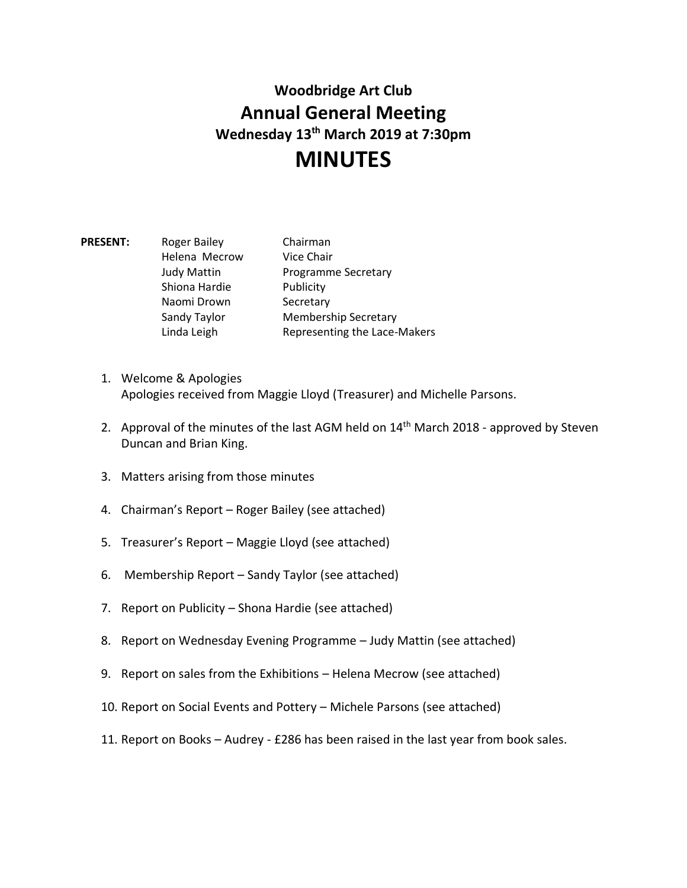## **Woodbridge Art Club Annual General Meeting Wednesday 13th March 2019 at 7:30pm MINUTES**

- **PRESENT:** Roger Bailey **Chairman** Helena Mecrow Vice Chair Judy Mattin Programme Secretary Shiona Hardie **Publicity** Naomi Drown Secretary Sandy Taylor Membership Secretary Linda Leigh Representing the Lace-Makers
	- 1. Welcome & Apologies Apologies received from Maggie Lloyd (Treasurer) and Michelle Parsons.
	- 2. Approval of the minutes of the last AGM held on 14<sup>th</sup> March 2018 approved by Steven Duncan and Brian King.
	- 3. Matters arising from those minutes
	- 4. Chairman's Report Roger Bailey (see attached)
	- 5. Treasurer's Report Maggie Lloyd (see attached)
	- 6. Membership Report Sandy Taylor (see attached)
	- 7. Report on Publicity Shona Hardie (see attached)
	- 8. Report on Wednesday Evening Programme Judy Mattin (see attached)
	- 9. Report on sales from the Exhibitions Helena Mecrow (see attached)
	- 10. Report on Social Events and Pottery Michele Parsons (see attached)
	- 11. Report on Books Audrey £286 has been raised in the last year from book sales.